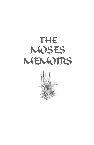

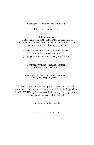Copyright © 2009 by Lanny Townsend

ISBN: 978-1-926652-04-7

All rights reserved. With the permission of the author, this material may be translated, reproduced, stored, or transmitted in any manner whatsoever, with the following provisions:

It is to be copied in its entirety with no revisions. It is to be distributed at no profit *(charging no more than the cost of printing and shipping).*

For large quantities of reprints, contact info@dayspringsmedia.com

#### PUBLISHED BY DAYSPRINGS PUBLISHING VANCOUVER, CANADA.

Unless otherwise indicated, Scripture is taken from the HOLY BIBLE, NEW INTERNATIONAL VERSION® NIV®. Copyright © 1973, 1978, 1984 by International Bible Society. Used by permission of Zondervan. All rights reserved.

Printed and bound in Canada.

10 9 8 7 6 5 4 3 2 1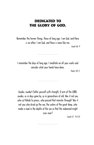### Dedicated to the Glory of God.

Remember the former things, those of long ago; I am God, and there is no other; I am God, and there is none like me.

Isaiah 46: 9

I remember the days of long ago; I meditate on all your works and consider what your hands have done.

Psalm 143: 5

Awake, awake! Clothe yourself with strength, O arm of the LORD; awake, as in days gone by, as in generations of old. Was it not you who cut Rahab to pieces, who pierced that monster through? Was it not you who dried up the sea, the waters of the great deep, who made a road in the depths of the sea so that the redeemed might cross over?

Isaiah 51: 9 & 10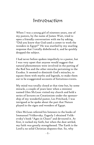## Introduction

When I was a young girl of nineteen years, one of my pastors, by the name of James Watt, tried to open a friendly conversation with me by asking, "Did you know that God used a comet to work the wonders in Egypt?" He was startled by my snarling response that I totally disbelieved it, and he quickly dropped the subject.

I had never before spoken impolitely to a pastor, but I was very upset that anyone would suggest that natural phenomenon were involved in the parting of the Red Sea and the other miracles pertaining to the Exodus. It seemed to diminish God's miracles, to equate them with myths and legends, to make them out to be exaggerated accounts of fortuitous events.

My mind was totally closed at that time but, by some miracle, a couple of years later when a minister named Glen McLean visited my church and held a series of lectures on Creationism under the sponsorship of my wonderful pastor, Les Pritchard, I was intrigued as he spoke about the part that Nature played in the signs and wonders of Egypt.

Glen McLean referred his listeners to the books of Immanuel Velikovsky. Eagerly I obtained Velikovsky's book "Ages in Chaos" and devoured it. At first, it rocked my faith, but when the dust settled, my faith was greatly strengthened. The Earth is the Lord's; no solid Christian disputes that. So, why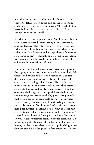would it bother us that God would choose to use a comet to deliver His people and provide for them, and chastise rebels at the same time? The whole Universe is His. He can use any part of it that He chooses to work His will.

For the next twenty years, I read Velikovsky's books several times, sifted them through the Scriptures, and mulled over the information in them that I consider valid. There is a lot in those books that I consider valid. Velikovsky had a large share of common sense and honesty. Though he believed in evolution, for instance, he admitted that much of the so-called evidence for evolution is flawed.

Immanuel Velikovsky was a controversial figure in the 1950's, a target for many scientists who likely felt threatened by his deductions because they contradicted conventional interpretations of historical records and archeological artifacts. His conclusions were a threat to the comfortable niches that many scientists had carved out for themselves. They had obtained their degrees, their positions, their admirers, and royalties from books by persuading people that they were unimpeachable authorities in their areas of study. What if people seriously paid attention to Immanuel Velikovsky? What if they recognized his superior reasoning on certain matters and started to consider his rivals' material to be invalid? It would entail loss of face, perhaps loss of revenue, as well. Under pressure from scientific clientele, Velikovsky's publisher withdrew from publishing his books, but he turned them over to a publishing house that did not have a large part of its business tied into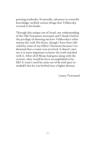printing textbooks. Eventually, advances in scientific knowledge verified various things that Velikovsky avowed in his books.

Through this unique son of Israel, my understanding of the Old Testament increased, and I thank God for the privilege of showing me how Velikovsky's information fits with His Story, though I have been ridiculed by some of my fellow Christians because I understand that a comet was involved. It doesn't matter; it is more important to know the truth and deal with it. After all if Moses had gone along with the current, what would he have accomplished in his life? It wasn't until he came out of de-nial (pun intended!) that he was birthed into a higher destiny.

Lanny Townsend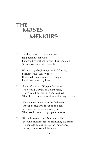# **MEMOIRS** MOSES THE

- 1) Tending sheep in the wilderness Had been my daily lot; I watched over them through heat and cold, While answers to life, I sought.
- 2) What strange beginnings life had for me, Born into the Hebrew race; It seemed I was destined for slaughter, Until I was saved by Grace.
- 3) A sacred scribe of Egypt's Mysteries, Who stood at Pharaoh's right hand, Had studied our writings and realized That the Hebrews were close to leaving the land.
- 4) He knew that very soon the Deliverer Of our people was about to be born, So he conceived a nefarious plan That would cause our people to mourn.
- 5) Pharaoh needed our labour and skills To build monuments for promoting his fame; He considered our lives of no importance In his passion to exalt his name.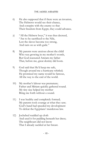- 6) He also supposed that if there were an invasion, The Hebrews would see their chance, And conspire with the enemy so that Their freedom from Egypt, they could advance.
- 7) "All the Hebrew boys," it was thus decreed, "Are to be sacrificed to the Nile, Lest the slaves become too strong, And turn on us with guile."
- 8) My parents were anxious about the child Who was growing in my mother's womb, But God reassured Amram my father That, before me, great destiny did loom.
- 9) God said that He'd keep me safe, Though around me a hurricane whirled; He promised my name would be famous, All the way to the end of the world.
- 10) My mother's labour was premature; Father and Miriam quickly gathered round. My tiny size helped my mother Bring me forth without a sound.
- 11) I was healthy and completely formed; My parents took courage at what they saw; God's hand had speeded my development To defeat the Egyptians' murderous law.
- 12) Jochebed wadded up cloth And used it for padding beneath her dress; The neighbours did not know That I already suckled at her breast.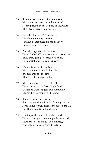- 13) So secretive were my first few months; My little cries were hurriedly muffled. As my parents concealed me in their home, Their fears were often ruffled.
- 14) I drank a lot of milk in those days, Which made me quite robust. Finding a safer place for me to grow Became an urgent must.
- 15) Also the Egyptians became suspicious When Jochebed's pregnancy kept going on. They were going to search our home For contraband Hebrew "spawn".
- 16) If they found an infant boy, My whole family would be killed, But this was not the fate That God for us had willed.
- 17) My parents were people of faith, Who trusted in the Most High God; Certain that El Shaddai would provide, My mother fashioned a little pod.
- 18) She carried me in it to the river, And stepped down into its flowing stream; After some fervent kisses, she closed the lid; I drifted into a troubled dream.
- 19) Having settled me as best she could Within that tightly-woven, pitch-sealed ark, Mother released me to God's mercy, And waded back through the dark.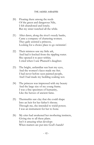- 20) Floating there among the reeds Of the green and dangerous Nile, I felt abandoned and lonely; But my sister watched all the while.
- 21) After dawn, along the river's weedy banks, Came a company of chattering women. They gaily assisted a princess, Looking for a choice place to go swimmin'.
- 22) Their mistress saw my little ark, And had it fetched from the rippling water. She opened it to peer within; I cried when I saw Pharaoh's daughter.
- 23) The bright, unfamiliar sun hurt my eyes, And the women's faces made me fret. I had never before seen painted people, And I had made my bedding soaking wet.
- 24) The princess was impressed with my beauty And the large size of my young frame. I was a fine specimen of humanity, Like the heroes of ancient fame.
- 25) Thermuthis saw clay that she could shape Into an heir for her father's throne. Through me, she intended to wield power; I was an instrument for her to hone.
- 26) My cries had awakened her mothering instincts, Giving rise to all these plans. Isn't it amazing what develops When matters are put into God's hands?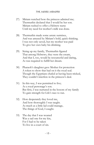- 27) Miriam watched how the princess admired me; Thermuthis declared that I would be her son. Miriam rushed to offer a Hebrew nurse Until my need for mother's milk was done.
- 28) Thermuthis made some astute surmises, And was amused by Miriam's bold, quick thinking. I was not only saved, but my mother was paid To give her own baby his drinking.
- 29) Sizing up my family, Thermuthis figured That among Hebrews, they were the cream, And that I, too, would be resourceful and daring, As was required to fulfill her dream.
- 30) Pharaoh's daughter gave Mother for protection A token to show that had on it the royal seal. Though the Egyptians chafed at having been tricked, They couldn't interfere in the princess's deal.
- 31) In this way, I was permitted to live; As a royal personage's son. But first, I was nurtured in the bosom of my family To gain strength for Life's race to run.
- 32) How desperately they loved me, And how thoroughly I was taught. As much as a little lad could manage, The things of God, I caught.
- 33) The day that I was weaned Was a sad one for my kin, For I had to be taken To live in a court of sin.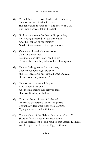- 34) Though her heart broke further with each step, My mother went forth with trust. She believed in the goodness and mercy of God, But I saw her tears fall in the dust.
- 35) God tenderly reminded her of His promise; I was being prepared to save our nation; And the shaping of my ministry Needed the assistance of a royal station.
- 36) We entered into the biggest house That I had ever seen, Past marble porticos and inlaid doors, To kneel before a lady who looked like a queen.
- 37) Pharaoh's daughter looked me over, Then smiled with regal pleasure. She stretched forth her jewelled arms and said, "Come to me, my treasure."
- 38) My mother gave me a little push, And I obeyed her cue. As I looked back to her beloved face, Her eyes filled up with dew.
- 39) That was the last I saw of Jochebed For many desperately lonely, long years. Though my days were filled with learning, My nights were filled with tears.
- 40) The slaughter of the Hebrew boys was called off Shortly after I moved to my new home, For the sacred scribe soon realized that Israel's Deliverer Was living in the shadow of Egypt's throne.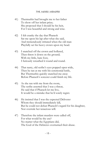- 41) Thermuthis had brought me to her father To show off her infant prize; She proposed that I should be his heir, For I was beautiful and strong and wise.
- 42) I felt cranky the day that Pharaoh Sat me upon his lap after what she said, And tremendously irritated when the old man Playfully set his heavy crown upon my head.
- 43) I snatched off the crown and hollered, Then threw it down on the ground; With my little, bare foot, I furiously wreathed it round and round.
- 44) That nasty, old scribe's eyes popped open wide, Then he ran at me with his ceremonial knife, But Thermuthis quickly snatched me away Before Pharaoh's sorcerer could finish my life.
- 45) As she ran with me from the room, The scribe asserted that I was a threat, He said that if Pharaoh let me live, It would be a mistake that he'd sorely regret.
- 46) He insisted that I was the expected Deliverer Whom they should immediately kill, But he could not defeat Pharaoh's regard for his daughter, Nor overrule her tenacious will.
- 47) Therefore the infant murders were called off, For what would be the use? No matter what the Egyptians did, The God of the Hebrews overturned their abuse.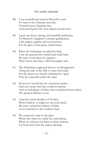- 48) I was carefully groomed in Pharaoh's court To cater to his whimsies and rule; I learned secret Egyptian arts, And served gods who were depraved and cruel.
- 49) I grew up clever, strong, and manfully handsome, To Pharaoh's daughter's extreme gratification. I did mighty exploits and won honours For the glory of her great, sinful nation.
- 50) When the Ethiopians invaded the land, I was the general who turned their raids back. By craft, I took them by surprise; Their towns and cities, I did thoroughly sack.
- 51) The Ethiopians supposed that we would approach Along the side of the Nile to enter their land, For the desert was heavily inhabited by vipers That lay concealed under the sand.
- 52) However, I noted that the venomous snakes Had one enemy that they could not defeat; And we had plenty of ibises that considered those snakes The greatest delicacy to eat.
- 53) I had the marsh dwellers of Goshen Weave baskets of sedge for our avian band. My army carried the baskets of birds As we marched to the Cushites' land.
- 54) We cautiously came to the place Where the vipers lay under the sand asleep; When we released our ibises in their territory, Up from their beds the snakes did leap.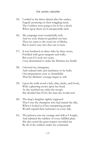- 55) I smiled as the ibises darted after the snakes, Eagerly pouncing on their wriggling meal; The Cushites were going to be in for a shock When upon them we'd unexpectedly steal.
- 56) My campaign went wonderfully well, And we took whatever gratified our lust; Then we came to the royal city of Sheba, But it wasn't easy into that one to bust.
- 57) It was bordered on three sides by three rivers, Fortified with great ramparts and walls; But even if it took two years, I was determined to make the Shebans my thralls.
- 58) I devised my stratagems, And ordered rafts and machinery to be built; Our preparations were so formidable That the Shebans' courage began to wilt.
- 59) Upon the walls stood a lady; slim, dusky, and lovely, With a glittering crown upon her head; As she watched me order the troops, She decided that I'd be the man she would wed.
- 60) The king's daughter rightly supposed That I was the champion who had turned the tide, When it looked as if her enterprising people Would expand their territories on every side.
- 61) The princess saw my courage and skill as I fought, And admired the subtlety of every fulfilled plan; She also noted the great respect accorded me By all of the soldiers under my command.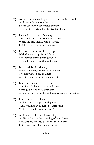- 62) As my wife, she could procure favour for her people And peace throughout the land, So she sent her most trusted servant To offer in marriage her dainty, dark hand.
- 63) I agreed to wed her, if the city She could hand over to me to possess; When she did, then I, with pleasure, Fulfilled my oath to the princess.
- 64) I returned triumphantly to Egypt With slaves and spoils and fame. My enemies burned with jealousy; To the throne, I had the best claim.
- 65) It seemed like I had it all; More than ever, women fell at my feet. The army hailed me as a hero; As for eloquence, none could compete.
- 66) Everything seemed to indicate That I would have a successful career; I was god-like to the Egyptians; Almost a giant in height, and intellectually without peer.
- 67) I lived in sybarite pleasure, And walked in majesty and grace; Yet, I wrestled with deep dissatisfaction, Which led me to seek the Lord's face.
- 68) And there in His face, I saw pain, As He looked on the suffering of His Chosen. My heart melted into desire for their liberty, For it had finally become unfrozen.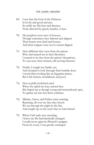- 69) I saw that the God of the Hebrews Is lovely and good and just. So noble are His laws and decrees; None directed by greed, murder, or lust.
- 70) His prophets were men of honour, Though sometimes they faltered and slipped. Their hearts were kind and honest, And their tongues were not in venom dipped.
- 71) How different they were from the priests Who had trained me in their Mysteries. I wanted to be free from the priests' deceptions, To cast away their twisted, self-serving histories.
- 72) Finally, I sought my family out, And stooped to look through their humble door. I stood there looking like an Egyptian prince, But I felt forlorn, bewildered, and poor.
- 73) How joyfully Jochebed cried When she spied my lean, tanned face. She leaped up as though young and tremendously spry, To gather me into her fierce embrace.
- 74) Miriam, Aaron, and Father came running; Rejoicing, all over my face they kissed. We sat through the night by the fire, And caught up on the years that we had missed.
- 75) When I left early next morning, I knew my life had drastically changed. I could never again be Pharaoh's puppet; From his court, I was greatly estranged.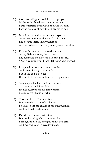- 76) God was calling me to deliver His people; My heart throbbed heavy with their pain. I was frustrated by my lack of divine wisdom, Having no idea of how their freedom to gain.
- 77) My adoptive mother was royally displeased At my inattention to the court's vain duties. She became increasingly perturbed As I turned away from its proud, painted beauties.
- 78) Pharaoh's daughter expressed her wrath As my Hebrew roots, she scorned. She reminded me how she had saved my life. "And stay away from those Hebrews!" she warned.
- 79) I weighed my love and respect for her, And sifted through my attitude, But in the end, I decided It was El Shaddai who deserved my gratitude.
- 80) Sovereignly, He had used my enemies To preserve my life for Him. He had reserved me for His worship, Not to serve Pharaoh's whim.
- 81) Though I loved Thermuthis well, It was needed to love God better, So I shook off the chains of her manipulation And cast aside each fetter.
- 82) Decided upon my destination, But not knowing which route to take, I thought to use the strength of my own arm, And my own road to Destiny make.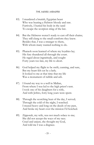- 83) I murdered a brutish, Egyptian beast Who was beating a Hebrew bloody and raw. Furtively, I buried his body in the sand To escape the scorpion sting of the law.
- 84) But the Hebrews weren't ready to cast off their chains; They still clung to the small comforts they knew. Besides that, I was a stranger to them, With whom many wanted nothing to do.
- 85) Pharaoh soon learned of where my loyalties lay; His fury thundered all through the court. He raged about ingratitude, and sought Forty years too late, my life to abort.
- 86) God helped my flight to be swift, cunning, and sure, But my heart felt cut by a lash; It looked to me at that time that my life Was a monument of rubble and ash.
- 87) I found my way to a well in Midian, From where I was led to the high priest's tent. I took one of his daughters for a wife, And with Jethro, forty long years were spent.
- 88) Through the scorching heat of the day, I served; Through the cold of the night, I watched. I mused heavy and long on the deeds of my past, And broke my heart over the mission I'd botched.
- 89) Zipporah, my wife, was not much solace to me; She did not accept the ways of my race. Cruel and unjust, she thought my God, And told me I was a disgrace.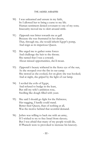- 90) I was unlearned and unsure in my faith, So I allowed her to bring a curse to my life. Human sentiment denied covenant to one of my sons; Insecurity moved me to skirt around strife.
- 91) Zipporah was bitter towards me as gall Because she was frustrated in her dream, That, through me, she would inherit Egypt's pomp, And reign as its imperious Queen.
- 92) She urged me to gather some forces And challenge the heir to the throne. She ranted that I was a coward; About missed opportunities, she'd moan.
- 93) Zipporah's beauty withered in the fierce eye of the sun, As she stooped over the fire in our camp. She stewed as she cooked, for on glory she was hooked; And at night, she griped by the light of our lamp.
- 94) I reviled the evils of Egypt, And refused to budge in the least, But still my wife's ambition rose, Swelling like dough filled with yeast.
- 95) She said I should go fight for the Hebrews; Her nagging, I hardly could stand. Better their Queen, than of nothing at all, Was the motive behind that scornful demand.
- 96) Jethro was willing to back me with an army, If I wished to try to free Israel from slavery; But I was afraid that many of my people would die, If Pharaoh were to provoked to increase his knavery.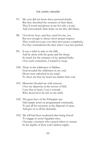- 97) My sons did not know these personal details, But they absorbed the sourness of their dame. They'd scowl and glower at me for only a word, And conveniently their faults on me they did blame.
- 98) I loved my boys, and they cared for me, too, But not enough to always show proper respect; They could never get over their irreverence completely, For they remembered the days when I was hen-pecked.
- 99) It was a relief to take to the hills, And be alone with the goats and the sheep. So much for the romance of my spirited bride; Over such contention, I wanted to weep.
- 100) There in the wilderness of Midian, God revealed the wilderness in my soul. Doors were unlocked in my mind To show me that my heart was darker than coal.
- 101) Memories flooded me with remorse Over my depravity in the service of Self. I saw that at heart, I was a coward, Who deserved to be left on the shelf.
- 102) The great hero of the Ethiopian war Had simply acted on programmed commands, To put all his resources at the disposal of satan, And give in to all his demands.
- 103) My will had been weakened after being forced To engage in secret Egyptian rites; I became a monster who caused others to scream In the depths of their soul's darkest nights.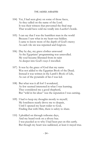- 104) Yet, I had seen glory on some of those faces, As they called on the name of the Lord. It was their witness that prevented the final step That would have sold me totally into Lucifer's horde.
- 105) I can say that I was the humblest man in the world Because I saw what in my heart was hidden. I came to know more of the depth of God's mercy As each vile sin was repented and forgiven.
- 106) Day by day, my grave clothes unwound As the Egyptians' programming was unravelled. My soul became liberated from its taint As deeper into God's ways I travelled.
- 107) It was by the grace of God that my name Was not added to the Egyptian Book of the Dead; Instead it was written in the Lamb's Book of Life, As out of the pyramids of lies I was led.
- 108) But what was it all for? I wondered, As few seemed interested in what I was learning. They considered me a good shepherd, But "wild in his ideas" was the reputation I was earning.
- 109) I had to keep my thoughts mostly to myself; My loneliness nearly drove me to despair, Until I opened my heart wider to God, Finding that with Him, there is safety to share.
- 110) I plodded on through toilsome days, And my beard took on a silvery hue. I was puzzled as to why I had been put on this earth; But though my heart was saddened, at least it stayed true.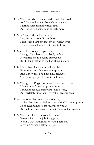- 111) Then on a day when it could be said I was old, And I had retirement from labour in view, I turned aside from my usual path, And looked on something entirely new.
- 112) A fire crackled within a bush, Yet, the bush itself did not burn! I discovered that day that my life wasn't over; There was much more that I had to learn.
- 113) God had not given up on me, Though I had blown it so badly before. He wanted me to liberate His people, But I didn't feel up to the hardships in store.
- 114) My self-confidence was badly bruised From the jibes of my sarcastic spouse, And I knew that I had lived in a fantasy, Only playing a part in Ra's royal house.
- 115) Though the Egyptians thought me a great orator, My words had been empty and vain; I talked much less than what I had before, And certainly didn't want to make speeches again.
- 116) I no longer had any scripts to recite, Such as had been drilled into me by the Mysteries' priests. I pondered things so thoroughly now that, By the time I had answers, others' interest had ceased.
- 117) There just had to be somebody else Better suited to the job, I suggested; When God said that Aaron would help me, My whining was finally arrested.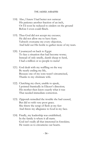- 118) Also, I knew I had better not outwear His patience another fraction of an inch, Or I'd soon be reduced to cinders on the ground Before I even could flinch.
- 119) Thus God did not accept my excuses; He did not allow me to have fears. Yahweh overcame my every objection, And held out His bottle to gather more of my tears.
- 120) I journeyed on back to Egypt To face a situation that had become worse; Instead of only smelly, dumb sheep to herd, I had a million or so people to nurse!
- 121) God dealt with my waffling on the way By nearly ending my life, Because one of my sons wasn't circumcised, Thanks to my obstinate wife.
- 122) Clutching my chest, unable to speak, I pointed frantically in Eliezer's direction; His mother then knew exactly what it was That needed immediate correction.
- 123) Zipporah remedied the trouble she had caused, But did so with very poor grace. She threw the scrap of flesh at my feet And threw my allegiance to God in my face.
- 124) Finally, my leadership was established; In the family is where it all starts. God isn't really all that interested in foreskins; He wants us to circumcise our hearts.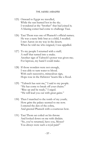- 125) Onward to Egypt we travelled, While the sun burned hot in the sky. I wondered at the "brother" that had joined it; A blazing comet had come to challenge Taui.
- 126) Taui Thom was one of Pharaoh's official names; He was a nasty little brat as a child, I recalled. I met Aaron on my way in the desert; When he told me who reigned, I was appalled.
- 127) To my people I returned with a staff; A staff that turned into a snake. Another sign of Yahweh's power was given me; For leprous, my hand I could make.
- 128) If those wonders were not enough, I was able to turn water to blood. With each successive, miraculous sign, Hope rose in the Hebrews' hearts like a flood.
- 129) "Yahweh has sent me," I said to my people. "He has come to break off your chains." "Rise up and be ready," I urged. "He will lead you out with great gains."
- 130) Then I marched to the tomb of my youth; How grim the palace seemed to me now. I entered the den of the cobra, And greeted Pharaoh with a courteous bow.
- 131) Taui Thom sat coiled on his throne And looked down on me with disdain. "So, you've returned, have you, Moses? You always were such a royal pain!"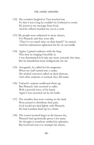- 132) His courtiers laughed as Taui mocked me; To him I was a bug he couldn't be bothered to crush. He jeered at my message from God, And his officers hustled me out in a rush.
- 133)`My people were subjected to more abuses, For Pharaoh said they were idle. "They've too much time on their hands!" he ranted, And his taskmasters tightened the bit on our bridle.
- 134) Again, I gained audience with the king This time by barging forcefully in. I was determined he'd take me more seriously this time, But he brandished more belligerently his sin.
- 135) Arrogantly, he called for his magicians When my staff turned into a snake. His wicked sorcerers called on their demons, And other serpents, it seemed, they did make.
- 136) Yahweh's serpent swallowed them up, But Pharaoh only resorted to sulks. With a peevish wave of his hand, Again I was escorted out by his hulks.
- 137) The troubles that were coming on the land Were poised to distribute their pain. God would not deal lightly with Pharaoh; He had wonders lined up in a chain.
- 138) The comet loomed larger in the brazen sky; Pharaoh had egotistically given it his name. He thought it somehow ratified his splendor, But God had sent it to trumpet his shame.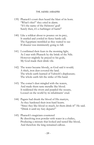- 139) Pharaoh's court then heard the blast of its horn. "What's this?" they cried in alarm. "It's the name of the Hebrews' god! Surely then, it's a harbinger of harm!"
- 140) Like a wildcat about to pounce on its prey, It snarled and yowled its fierce battle call; The Egyptians trembled as they waited to see If disaster was imminently going to fall.
- 141) I confirmed their fears in the morning light, As I met with Pharaoh by the brink of the Nile. However mightily he prayed to his gods, My God made their drink vile.
- 142) The water became bloody, as God said it would; A thick, iron dust covered the land. The whole earth learned of Yahweh's displeasure; The whole earth felt the strike of His hand.
- 143) The comet's dust mingled with the waters, And made them taste metallic like blood. It reddened the rivers and purpled the oceans, Loosed on the world by its inhabitants' crud.
- 144) Pagans had drunk the blood of His martyrs, As they hardened their iron-hard hearts. "Since they like blood so much, let them drink it!" He said. "Drink it until my fury departs!"
- 145) Pharaoh's magicians countered By dissolving iron powder with water in a chalice, Producing a mixture that looked and tasted like blood, And therefore the king remained callous.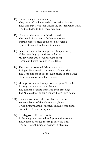- 146) It was merely natural science, They declared with amused and superior disdain. They said that it was just a fluke the dust fell when it did, And that trying to trick them was vain.
- 147) However, the magicians failed at a task That would have been a far better answer; But the comet's mess could not be reversed By even the most skilled necromancer.
- 148) Desperate with thirst, the people thought deep; Holes were dug by the rivers and lakes. Muddy water was sieved through linen; Aaron and I were deemed to be flakes.
- 149) The stink of poisoned fish mounted up, Rising to Heaven with the stench of men's sins. The Lord told me about the next phase of the battle; He always makes sure that He wins.
- 150) More pressure was brought to bear upon Pharaoh As frogs came up to cover the land. The comet's heat had increased their breeding; The Nile couldn't contain the work of God's hand.
- 151) Eighty years before, the river had been a grave To many babes of the Hebrew daughters; It was fitting that this judgment should come forth From its child-devouring waters.
- 152) Rahab gloated like a crocodile As his magicians seemed to duplicate the wonder. Their demons herded the frogs onto the land, And so Pharaoh plunged onward in blunder.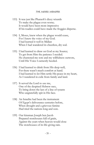- 153) It was just like Pharaoh's dizzy wizards To make the plague even worse; It would have been more impressive If his toadies could have made the froggies disperse.
- 154) I, Moses, knew when the plague would cease, For I knew the voice of my God. I had learned it well in Midian When I had wandered its cheerless, dry sod.
- 155) I had learned to draw on God as my Source; To get from Him the patience I needed. He chastened me sore and my willfulness outwore, Until His Voice I earnestly heeded.
- 156) I had learned to drink from His deep well, For there wasn't much comfort at hand. I had learned to let Him settle His peace in my heart, As I wandered in exile from family and land.
- 157) It served the Lord to use me, One of the despised Hebrew race, To bring down the last of a line of tyrants Who ungratefully spit in His face.
- 158) An Israelite had been the instrument Of Egypt's deliverance centuries before, When drought and a grievous famine Had tried the nations long and sore.
- 159) Our kinsman Joseph ben Jacob Prepared storehouses full of grain, Against the years when heaven would close The storehouses of its life-giving rain.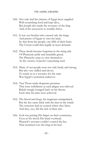- 160) Not only had the citizens of Egypt been supplied With nourishing food and kept alive, But Joseph also made the revenues of the king And of his successors to notably thrive.
- 161) It was our brother who caused only the kings And priests of Egypt to own the land, So that from the people, one fifth of their fruits The Crown could then legally in taxes demand.
- 162) These deeds became forgotten in the rising tide Of Pharaonic pride and insatiable greed; The Pharaohs came to view themselves As the owners of Jacob's sojourning seed.
- 163) Many of our people were not only hardy and strong, But also very skilled and clever; To retain us as a resource for the state Was Egypt's tyrannical endeavor.
- 164) Taui Thom made desperate promises That were withdrawn as each plague was relieved. Rahab smugly lounged back on his throne Each time his aims were achieved.
- 165) The blood and frogs, his magicians manipulated, But the lice came thick with the dust in the winds. The sorcerers had no control where they blew; And they, too, felt the itch of their sins.
- 166) God was putting His finger on their conscience, Even as He shook His hand overhead. Pharaoh's servants couldn't control the lice That swarmed over the king in his bed.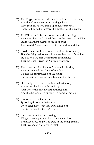- 167) The Egyptians had said that the Israelites were parasites, And therefore treated us increasingly harsh. Now their blood was being siphoned off for real Because they had oppressed the dwellers of the marsh.
- 168) Taui Thom and his court stood around scratching As my brother and I joined them on the banks of the Nile. It annoyed them greatly to see us at ease; The lice didn't seem interested in our bodies to defile.
- 169) I told him Yahweh was going to add to his torments, Since he delighted to worship the restless lord of the flies. He'd soon have flies swarming in abundance; Then he'd see if resisting Yahweh was wise.
- 170) The comet mocked Pharaoh's tattered splendor, As it proclaimed the Name of my God. On and on, it stretched out the sound; But further into destruction, Taui stubbornly trod.
- 171) He merely looked at me with bored irritation, And turned his back with a twitch; As if I were the only fly that bothered him, And that he longed to hit with his horsetail switch.
- 172) Just as I said, the flies came, Spreading disease in their wake. I wondered how long Taui would hold out, Before more entreaties he'd make.
- 173) Biting and stinging and buzzing, Winged insects pestered both human and beast, For mosquitoes and wasps were in the flying armada That descended on Egypt to feast.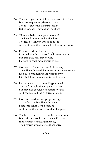- 174) The employment of violence and worship of death Bred consequences grievous to bear. The flies drove the Egyptians crazy, But to Goshen, they did not go there.
- 175) "Ra-uah-ab demands your presence!" The heralds announced at the door. The fear of Yahweh was upon them As they bowed their scabbed bodies to the floor.
- 176) Pharaoh made a plea for relief; I warned him that his word had better be true. But being the fool that he was, He gave himself more misery to rue.
- 177) God sent a plague first on all his beasts; Then Pharaoh heard that none of ours were smitten. He boiled with jealous and vicious envy; His black heart became more hard-bitten.
- 178) He did not see that it was Egypt's greed That had brought the plague upon them, For they had coveted our fathers' wealth, And had plagued the children of Shem.
- 179) God instructed me in a prophetic sign To perform before Pharaoh's face. I gathered ashes from a furnace And tossed them heavenward in that place.
- 180) The Egyptians were well on their way to ruin, But their sins would burn them still more; In the furnace of their afflictions, Their regrets would plague them sore.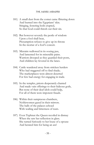- 181) A small dust from the comet came flittering down And burned into the Egyptians' skin. Stinging, festering boils erupted, So that God could thresh out their sin.
- 182) But however severely the pestle of wisdom Upon a fool shall beat, Presumption refuses to give up its throne In the mortar of a fool's conceit.
- 183) Mizraim wallowed in its oozing pus, And lamented for its miserable pains. Warriors drooped as they guarded their posts, And children lay fevered in the lanes.
- 184) Cattle wandered away from stricken herders Who had staggered off to find shade; The marketplaces were almost deserted For few had energy for engaging in trade.
- 185) In the temples, priests desperately chanted And made vain offerings to their hideous gods, But none of their deaf idols could help, For all of them were impotent frauds.
- 186) Within their sumptuous chambers, Noblewomen gazed in their mirrors. The halls of the palaces echoed With wailing and bitterness of tears.
- 187) Even Tephnut the Queen recoiled in dismay When she saw her reflection in glass. She turned furiously to her louse of a spouse And berated him for being an ass!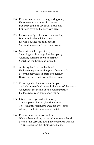- 188) Pharaoh sat moping in dragonish gloom; He sneered at his queen in distaste. But what could he say about her looks? For boils covered his very own face!
- 189) I spoke sternly to Pharaoh the next day, But he still behaved like a jerk. He was a sucker for punishment, So I told him about God's next work.
- 190) Meteorites fell, as predicted, Smashing and burning all in their path; Crushing Mizraim down to despair; Scorching the Egyptians in wrath.
- 191) A history far from unblemished Had been exposed to the gaze of these souls. Now the heaviness of their own tyranny Burrowed into their hearts like hot coals.
- 192) Cowering with his servants in his palace, Taui Thom trembled beneath the blast of the storm. Cringing at the sound of its pounding tattoo, He looked at each shuddering form.
- 193) His servants' eyes rolled in terror; They implored him to give them relief. These mighty judgments were too awesome; Already, the horrors exceeded belief.
- 194) Pharaoh sent for Aaron and me; We had been waiting in the palace close at hand. None of his servants could have ventured outside To entreat us for their bombarded land.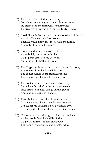- 195) The hand of our God was upon us, For He was preparing to show forth more power. He didn't need the thick walls of that palace To preserve His servants in the deadly, dark hour.
- 196) I told Pharaoh that I would go to the outskirts of the city To call off the comet's fiery assault; Then he would know that the earth is the Lord's, And only Him should we exalt.
- 197) Pharaoh and his court accompanied us As we boldly walked from his hall. God's peace saturated my every fibre As I obeyed His beckoning call.
- 198) The Egyptians followed us to the double-leafed door, And opened it to that incredible storm. The comet burned in the treacherous sky; The land of Egypt was battered and torn.
- 199) The bodies of beasts and men lay shattered; Burned and bloodied in the dusty, red streets. Fires streaked in black sludge on the ground And rose up around us in sheets.
- 200) That black glop was falling from the comet; In some places, I heard, people were drowned, For the naphtha fell like a flood, which is why, In some parts of the world, so much oil is found.
- 201) Meteorites crashed through the flimsier dwellings As the people fearfully huddled inside. God was about to confirm His favour; The door of opportunity was opening wide.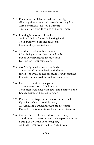- 202) For a moment, Rahab reared back smugly; Gloating triumph smeared across his oozing face. Aaron trembled as he stood at my side; Taui's hissing chuckle contested God's Grace.
- 203) Ignoring his mockery, I reached And took hold of Aaron's faltering hand. Then calmly we both stepped forth, Out into the pulverized land.
- 204) Speeding missiles whistled about; Like blazing torches, they hurried on by, But to our circumcised Hebrew flesh, Destruction never came nigh.
- 205) God's holy angels covered our bodies; They covered us completely with Grace. Invisible to Pharaoh and his thunderstruck minions; I'm sure they enjoyed the look on each face.
- 206) I looked back after some paces To see the reaction of Taui's court. Their faces were filled with awe - and Pharaoh's, too, Looked humbler, I'm glad to report.
- 207) I'm sure that disappointment soon became etched Upon his scabby, scarred features, As Aaron and I walked through the firestorm; Evidently Hebrews were God's favoured creatures.
- 208) Outside the city, I stretched forth my hands; The shower of meteorites and their explosions ceased. I was glad I was the Lord's prophet, And that Aaron would be the Lord's priest.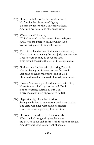- 209) How grateful I was for the decision I made To forsake the pleasures of Egypt; To turn my face to the God of my fathers, And turn my back to its old, musty crypt.
- 210) Where would I be now, If I had entered the Mysteries' ultimate degree, And I was the Pharaoh against whom God Was ordering each formidable decree?
- 211) The mighty hand of my God remained upon me; The risk of pronouncing the next judgment was dire. Locusts were coming to cover the land; They would consume the rest of the crops entire.
- 212) God was not finished with chastising Pharaoh; The hardening of his heart was yet furthered. If it hadn't been for the protection of God, He would have had me cold-bloodedly murdered.
- 213) Pharaoh's servants pleaded desperately with him; Therefore he called my brother and I back; But of reverence suitable to our God, There most definitely appeared to be lack.
- 214) Hypocritically, Pharaoh chided us, Saying we desired to expose our weak ones to risk; The earth was filled with grievous dangers From the comet's glowing, horned disk.
- 215) He pointed outside to the ferocious orb, Which he had arrogantly given his name. He berated us for stubbornness in the face of his god, And drove us away in a torrent of shame.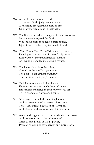- 216) Again, I stretched out the rod To beckon God's judgment and wrath. A hurricane brought the locusts to dine Upon every green thing in their path.
- 217) The Egyptians had not hungered for righteousness, So now they hungered for food. While the locusts pounded on their houses, Upon their sins, the Egyptians could brood.
- 218) "Taui Thom, Taui Thom!" drummed the winds, Dancing furiously around Pharaoh's big house. Like warriors, they proclaimed his demise, As Pharaoh trembled inside like a mouse.
- 219) The locusts blew into the palace, Carried on the wind's angry waves. The people beat at them frantically; They terrified the royalty's babes.
- 220) Taui Thom screamed in his chambers; He screamed out my much-despised name. His servants stumbled in their hurry to call us; To his chambers, Aaron and I came.
- 221) We charged through the whirling locusts, And squeezed around a narrow, closet door. There Taui huddled in terror of starvation, And pleaded with us to torment him no more.
- 222) Aaron and I again covered our heads with our cloaks And made our way to the palace's roof; After all this display of God's power, Pharaoh should not have needed any more proof.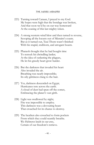- 223) Turning toward Canaan, I prayed to my God. My hopes were high that the bondage was broken, And that soon we'd be on our way homeward At the ceasing of this last mighty token.
- 224) A strong western wind blew and then turned to reverse, Scooping all the locusts out of Mizraim's coasts. But as it turned out, Taui Thom wasn't finished With his stupid, stubborn, and arrogant boasts.
- 225) Pharaoh thought that he had bought time To restock his dwindling larder; At the idea of outlasting the plagues, He let his greedy heart grow harder.
- 226) But the darkness that invaded his heart Also invaded the air. Breathing was nearly impossible; Its oily grittiness clung to the hair.
- 227) Yes, darkness descended on Egypt; Hurricanes tore across the earth. A cloud of dust had spun off the comet, Embracing the planet's vast girth.
- 228) Light was swallowed by night; Fire was impossible to employ. This darkness was a devouring beast That crouched for its chance to destroy.
- 229) The heathen also crouched to form pockets From which they could scantily breathe. We Hebrews knelt in our awe, Certain of our freedom's retrieve.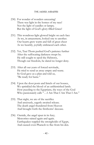- 230) For wonder of wonders unceasing! There was light in the homes of my race! Not the light of candles or lamps; But the light of God's glory-filled Grace!
- 231) This wondrous light glowed bright on each face As we, in amazement, looked one to another. Our hearts grew warm and full of great cheer As we heartily, joyfully embraced each other.
- 232) Yet, Taui Thom pushed God's patience further After the suffocating darkness swept by. He still sought to spoil the Hebrews, Though our freedom, he dared no longer deny.
- 233) After all our years of forced servitude, He tried to send us away empty and waste. So God gave us a plan and told us, "Be ready for haste."
- 234) Upon the door posts and lintels of our houses, We sprinkled the blood of an unblemished lamb. How puzzling to the Egyptians, the ways of the God Who passionately calls "…I Am That I Am That I Am."
- 235) That night, we ate of the sacrifice And anxiously, eagerly awaited release. The death angel thundered from Heaven And brought forth the firstborns' decease.
- 236) Outside, the angel spun in its fury; Meteorites rained again and again. Earthquakes toppled the strongholds of Egypt, And caused even Pharaoh to flee from his den.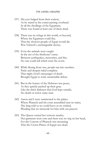- 237) His eyes bulged from their sockets, As he stared at the comet passing overhead. In all the dwellings of the Egyptians, There was found at least one of them dead.
- 238) There was no refuge in this world, or beyond, Where the Egyptians could flee. That the choicest people of Egypt would die Was Yahweh's unchangeable decree.
- 239) Even the animals were caught In the net of the firstborns' curse; Between earthquakes, meteorites, and fire, No one could tell which were the worst.
- 240) While fleeing from one, people ran into another; Panic and despair ruled complete. That night, God's messenger of death Brought Egypt to total, unutterable defeat.
- 241) But in the homes of the Hebrews was peace, As they quickly packed up their gear; Like the thick darkness that God kept outside, No death or terror came near.
- 242) Aaron and I were summoned to the palace Where Pharaoh and his court assembled near its stairs; The king told us we could leave as we wished, Pleading that we intercede for him with our prayers.
- 243) The Queen vented her sorrows nearby; Her garments were torn and there was no wig on her head, For the Consort of Pharaoh was mourning That the Crown Prince of Egypt was dead.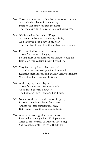- 244) Those who remained of the harem who were mothers Also held dead babes in their arms; Pharaoh lost many children the night That the death angel released its deadliest harms.
- 245) We listened to the wails of Egypt As they rose from its smoldering rubble, And I grieved deep down in my heart That they had brought on themselves such trouble.
- 246) Perhaps God had driven me away Those forty years so long ago, So that most of my former acquaintance could die Before on this leadership path I could go.
- 247) Very few of my friends had been left To pull at my heartstrings when I returned. Resisting their approbation and my fleshly sentiment Were other hard lessons I learned.
- 248) And now, my friends lay dead; Those few remnants from my youth. Of all that I cherish, however, The best are God's Light and His Truth.
- 249) Neither of them lay in the ruins of Egypt; I carried them in my heart from there. Others collected material treasures, But I found these the sweetest to bear.
- 250) Another treasure gladdened my heart; Restored was my gracious, Ethiopian wife. After all those years, Tharbis still loved me; She brought comfort to my difficult life.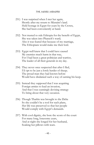- 251) I was surprised when I met her again, Shortly after my return to Mizraim's land. Held hostage in Egypt for years by the Crown, She had been conveniently at hand.
- 252) Not trusted to rule Ethiopia for the benefit of Egypt, She was taken into Pharaoh's ward; Also it was feared that because of my marriage, The Ethiopians would make me their lord.
- 253) Egypt well knew that I could have caused My enemies much harm in that way, For I had been a great politician and warrior, The leader of all their generals in my day.
- 254) They never once suspected that after I fled, I'd opt to be just a lowly herder of sheep; The proud man they had known before Would have disdained such a way of earning his keep.
- 255) Instead they supposed that I was acquiring Foreign armies to lead an invasion, And that I was cunningly devising strategy To bring about that very occasion.
- 256) Though Tharbis was brought to the Delta So she couldn't be a tool for such plans, Her life was preserved so that her people Would comply with Egypt's demands.
- 257) With cool dignity, she bore the scorn of the court For many long, lonesome years, And at night she longed for her husband, Soaking her pillows with tears.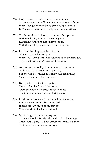- 258) God prepared my wife for those four decades To understand my suffering that same amount of time, When I longed for my family while being drowned In Pharaoh's cesspool of vanity and vice and crime.
- 259) Tharbis studied the history and ways of my people With steady diligence and increasing awe, Remaining faithful to her fugitive spouse With the most vigilance that anyone ever saw.
- 260) Her heart had leaped with excitement Almost too much to support, When she learned that I had returned as an ambassador, To present my people's cause in the court.
- 261) As soon as she could, she summoned her servants And rushed to where I was sojourning, For she was determined that she would let nothing Stand in the way of her yearning.
- 262) Barely able to maintain her poise, She stood at the door of the house; Giving my host her name, she asked to see The prince who was her long-lost spouse.
- 263) I had hardly thought of her throughout the years, For many women had lain in my bed; It hadn't meant much to me that she Was one whom I actually had wed.
- 264) My marriage had been an easy way To take a heavily fortified city and avoid a long siege; After I left Egypt, I did not expect my infatuated bride To forever honour me as her liege.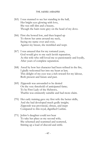- 265) I was stunned to see her standing in the hall, Her bright eyes glowing with love, She was still slim and a beauty, Though the hairs were grey on the head of my dove.
- 266) First she bowed low, and then leaped up To throw her arms around my neck, Saying my name over and over, Against my breast, she trembled and wept.
- 267) I was amazed that for my tortured years, God would give to me such lavish reparation, As this wife who still loved me so passionately and loyally, After years of complete separation.
- 268) Awed by how her character had been refined in the fire, I gladly welcomed her into my heart at last; This delight of my eyes was a rich reward for my labour, Both present and future and past.
- 269) Zipporah was astounded to be denied On the very threshold of anticipated fame; To be First Lady of the Hebrews, Tharbis was eminently suitable and had more claim.
- 270) Her early training gave my first wife the better skills, And she had developed much godly insight; Zipporah was provincial, obtuse, and inept Compared to this royal, dignified Cushite.
- 271) Jethro's daughter could not bear To take her place as my second wife; She schemed and scammed and scattered, Stirring up a load of discord and strife.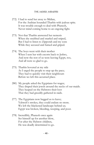- 272) I had to send her away to Midian, For the Arabian hounded Tharbis with jealous spite. It was trouble enough to deal with Pharaoh, Never mind coming home to an ongoing fight.
- 273) Not that Tharbis answered her nemesis When she snubbed and snarled and sniped, But I had to listen to Zipporah and my sons While they accused and fumed and griped.
- 274) The boys went with their mother When I sent her with escorts back to Jethro, And now the rest of us were leaving Egypt, too, And all were so glad to go.
- 275) Tharbis hovered at my side As I urged the people to step up the pace; They had to quickly visit their neighbours Before we left this accursed place.
- 280) My people asked the Egyptians for wages; They draped their jewels around the necks of our maids. They heaped on the Hebrews their loot That they had greedily gathered in raids.
- 277) The Egyptians now begged us to leave; Yahweh's strokes, they could endure no more. We left the blackened landscape behind us; Egypt was broken, bleeding, weeping, and poor.
- 278) Incredibly, Pharaoh once again Set himself up for another blow, For after the Hebrew children, He was deadly determined to go.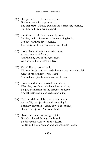- 279) His agents that had been sent to spy Had returned with a grim report. The Hebrews said they would make a three-day journey, But they had been making sport.
- 280) Sacrifices to their God were duly made, But they had no intention of ever coming back, For beyond three days' journey, They were continuing to beat a hasty track.
- 281) From Pharaoh's remaining aristocrats Arose protests of dismay, And the king was in full agreement With where their objections lay.
- 282) Wasn't Egypt poor enough, Without the loss of the marsh dwellers' labour and cattle? Many of his legal slaves were dead, And reduced greatly was his other chattel.
- 283) Pharaoh and his court asked themselves What they possibly could have been thinking, To give permission for the Israelites to leave, And let their assets take such a shrinking.
- 284) Not only did the Hebrews take with them Most of Egypt's jewels and silver and gold, But many Egyptian leaders, as well as servants, Had joined up with Yahweh's fold.
- 285) Slaves and traders of foreign origin Had also flowed through the breach, To follow the Hebrews to the desert, Far from the taskmasters' and tax collectors' reach.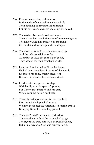- 286) Pharaoh sat stewing with remorse In the midst of a makeshift audience hall; Then deciding on revenge and to regain, For his horses and chariots and army did he call.
- 287) The soldiers became intoxicated more Than if they had drunk the juice of fermented grape; The king was leading them on to the thrills Of murder and torture, plunder and rape.
- 288) The charioteers and horsemen mounted up, And the infantry fell into order. As swiftly as these dregs of Egypt could, They headed for their country's border.
- 289) Rage and fury burned in Pharaoh's breast; He had been humiliated in front of the world. He lashed his bony, chariot steeds on; Beneath his wheels, the red dust swirled.
- 290) I had hurried my people for days With hardly a rest in spite of appeals, For I knew that Pharaoh and his army Would soon be hot on our heels.
- 291) Through shakings and smoke, we travelled; Dry, hot wind whipped all around. We now could feel the vibrations of chariot wheels Rising up from the trembling ground.
- 292) There to Pi-ha-Khiroth, the Lord led us; There to the mouth of the mountains' gorge. The Egyptians were sure we'd be swallowed up, But a final weapon, God was ready to forge.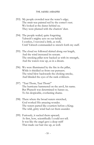- 293) My people crowded near the water's edge; The strait was painted red by the comet's rust. We looked at the dunes behind us; They were plumed with the chariots' dust.
- 294) The people wailed, quite forgetting Yahweh's mighty acts on our behalf. I confess, I wavered a little, as well, Until Yahweh commanded to stretch forth my staff.
- 295) The cloud we followed skirted along our length, And the wind increased its scream. The smoking pillar now backed us with its strength, And the waters rose up, as in a dream.
- 296) We were illuminated by the fire in the pillar, While it shielded us from our pursuers. The wind blew backwards the choking smoke, And blinded the eyes of the rank evildoers.
- 297) "Taui Thom, Taui Thom!" The hurricane hammered on the anvil, his name. But Pharaoh was determined to harass us, To his despicable, everlasting shame.
- 298) There where the broad waters stretched, God worked His amazing wonder. The waters parted like courtiers before a King; The wild, gritty wind had cut them asunder.
- 299) Furiously, it sucked them upward; At first, how, scientifically I could not tell. It was like the angel gave a deep sniff That made our hair rise up, as well.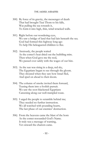- 300) By force of its gravity, the messenger of death That had brought Taui Thom to his falls, Was pulling the sea towards it, To form it into high, thin, wind-wracked walls.
- 301) Right before our wondering eyes, We saw a bridge of land that had lain beneath the sea. God had formed this highway long ago To help His beleaguered children to flee.
- 302) Anxiously, the people waited As the comet's heat dried out the bubbling mire. Then when God gave me the nod, We passed over safely with the wages of our hire.
- 303) As the sun was rising in a deep, red sky, The Egyptians began to see through the gloom. They shouted when they saw how Israel fled, And sped on ahead to their doom.
- 304) The column of smoke invited them forward, Teasing them into a foolish pursuit. We saw the soot-blackened Egyptians Careening along our well-trampled route.
- 305) I urged the people to scramble behind me; They needed no further instruction. We all watched with pounding hearts, The last phase of our enemies' destruction.
- 306) From the heavens came the blast of the horn As the comet resounded God's Name. It truly was a message of warning, Yet onward the chariots came.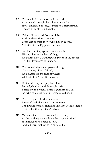- 307) The angel of God shook its fiery head As it peered through the column of smoke. It was amazed, I'm sure, at Pharaoh's presumption; Then with lightnings, it spoke.
- 308) Veins of fire arched from its globe And sundered the sky in two. From east to west, they cracked its wide shell; Yet, still did the Egyptians pursue.
- 309) Smaller lightnings spewed angrily forth, Hissing like a many-headed dragon. And that's how God threw His Sword in the spokes To "fix" Pharaoh's old wagon.
- 310) The comet's discharges passed through The whirling pillar of cloud, And blasted off the chariot wheels Of Taui Thom's terrified crowd.
- 311) Up into the air, the Egyptians flew; Blasted, shocked, and thoroughly fried. I lifted my rod when I heard a word from God As, with relief, the people behind me all cried.
- 312) The gravity that held up the waters Lessened with the comet's timely retreat, The towering panels exploded like a splattering sneeze That sealed the Egyptians' defeat.
- 313) Our enemies were too stunned to cry out, As the crashing waters threw them again to the sky. It shattered their bodies to jelly, And left them wallowing in mire to die.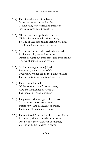- 314) Then into that sacrificial basin Came the waters of the Red Sea. Its devouring waves finished them off, Just as Yahweh said it would be.
- 315) With a shout, we applauded our God, While Miriam jumped at the chance, To take up her timbrel and kick up her heels And lead all our women in dance.
- 316) Around and around that old lady whirled, As the men clapped to keep time. Others brought out their pipes and their drums, And we all joined to sing rhyme.
- 317) Far into the night, we rejoiced, Recounting the wonders of God. Eventually, we headed to the palms of Elim; Then onward to Mount Sinai, we trod.
- 318) There is much to tell Of the journeys that followed after; How the Amalekites harassed us; That could fill many a chapter.
- 319) They swarmed into Egypt like locusts In the comet's disastrous wake. But since we had gathered our wages, There wasn't much left to take.
- 320) Those wicked Amu raided the census offices, And then gathered outside of our camp. One by one, they called out our names, Waiting with their chains to clamp.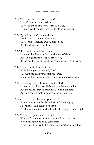- 321) The arrogance of those knaves! I hated them with a passion! They sought to make us return as slaves, Though God had delivered us in glorious fashion.
- 322) By and by, they'll be cut down, Until none of them are left alive. The Hyksos' identity will be forgotten, But Israel's children will thrive.
- 323) The people thought we would starve, There in the desert under the shadow of death; But God graciously sent us provision, Borne on the fragrance of the comet's honeyed breath.
- 324) How bountifully God fed us With the angel's sweet, oily food. Through the dark years that followed, It was sustenance to many of Adam's crushed brood.
- 325) How very much like our merciful God, To confer kindness on Hebrews and heathen alike. But the manna stayed fresh for us upon Sabbath, And we had enough food every day of our hike.
- 326) God gave me His laws upon Horeb When I was there for forty days and each night; I neither ate nor drank nor slept, For I was energized and enthralled by His glory and might.
- 327) The people got restless and said What had happened to me, they could not be sure; When my family tried to calm them, They stoned to death the son of my brother-in-law Hur.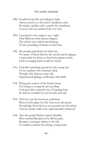- 328) Fearful for his life and failing in faith, Aaron caved in to the mob's rebellious cries; He made a golden calf to pacify the murderers, A move that was neither holy nor wise.
- 329) I returned to the camp to see a sight That filled me with furious disgust; The rebels were naked and dancing To the pounding of drums in their lust.
- 330) My people paid dearly for their sin, For many of them died by the sword and by plague; I interceded for them so that from greater wrath, God's avenging hand would be stayed.
- 331) God did something special for the young son Of my nephew who untimely died; Though only thirteen years old, Supernatural giftings on Bezaleel did abide.
- 332) Pitying the sorrow of his broken heart For losing so young his devout Dad, God gave him a special way of keeping busy So that he wouldn't be too broody and sad.
- 333) This boy was the foremost craftsman When God's plans for His Tent were advanced. Knowledge from Heaven was poured into his mind, And his artistic skills were supernaturally enhanced.
- 334) Also the gentle Danite named Aholiab, Who assisted Bezaleel as he did his part, Became a surrogate father to the lad, To further comfort his aching, young heart.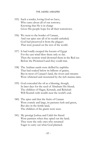- 335) Such a tender, loving God we have, Who cares about all of our sorrows; Knowing that He is in charge Gives His people hope for all their tomorrows.
- 336) We went to the border of Canaan, And our spies saw all of its wealth unfurled; God had preserved it from the plagues That were poured on the rest of the world.
- 337) It had totally escaped the locusts of Egypt For the east wind blew them only so far; Then the western wind drowned them in the Red sea Before the Promised Land they could mar.
- 338) The Arabian sands were defiled by naphtha That had soaked below its billions of grains, But in most of Canaan's land, the rivers and streams Were whitened and sweetened by the rich manna rains.
- 339) God concealed the oil as a blessing, though, In later days for the seed of Abraham His friend; The children of Hagar, Keturah, and Rebekah Will flourish with wealth near the world's end.
- 340) The spies said that the fruits of Canaan Were comely and large, its pastures lush and green, But also in the fertile land, The children of the giants were seen.
- 341) My protégé Joshua and Caleb his friend Were partners when they spied out the land; They were the only ones who returned Eager to carry out what God planned.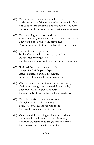- 342) The faithless spies with their evil reports Made the hearts of the people to be shaken with fear, But Caleb insisted that the land was ready to be taken, Regardless of how negative the circumstances appear.
- 343) The muttering mob arose and raved About returning to the land that had been their prison; They would not listen to the brave men Upon whom the Spirit of God had gloriously arisen.
- 344) I had to intercede yet again So that God would not destroy my nation; He accepted my urgent pleas, But there were penalties to pay for this evil occasion.
- 345) God said that none would enter the land, Except the faithful pair of spies; Israel's adult men would die because So many of them had listened to satan's lies.
- 346) When once that generation was dead and gone, Their unmarked graves scattered far and wide, Then their children would go forth To take the land that to their fathers was denied.
- 347) The rebels insisted on going to battle, Though God had told them no; Because He was no longer with them, They could not stand before their foe.
- 348) We gathered the weeping orphans and widows Of those who had been so slow at learning, And then we returned to the gloomy wilderness To continue our nomadic sojourning.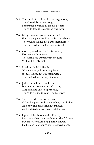- 349) The angel of the Lord led our migrations; They lasted forty years long. Sometimes I wished to die for despair, Trying to lead that cantankerous throng.
- 350) Many times, my patience was tried, For the people were like spoiled, little brats. They pulled on me like I was their mother; They nibbled on me like they were rats.
- 353) God reproved me for foolish wrath; How sorely I was vexed! The details are written with my tears Within the Holy text.
- 352) I had my faithful friends Who encouraged me along the way. Joshua, Caleb, my Ethiopian wife, . . . They helped me through many a day.
- 353) Jethro brought my family back, But he was too embarrassed to stay. Zipporah had stirred up trouble, Trying to get me to send Tharbis away.
- 354) She moaned about forty years Of cooking my meals and washing my clothes, And how she had borne my children, And endured so many sorrowful woes.
- 355) Upon all this labour and suffering, Persistently her claims to honour she did base, But the wife whom I had hardly known Had stolen Zipporah's well-deserved place.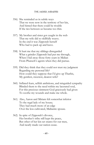- 356) She reminded us in subtle ways That we were now in the territory of her kin, And hinted that there could be trouble If the ties between us became too thin.
- 357) My brother and sister got caught in the web That my wife did so skillfully weave. In the end it was Zipporah herself Who had to pack up and leave.
- 358) It hurt me that my siblings disregarded What a grinder Zipporah had put me through, When I hid away those forty years in Midian From Pharaoh's agents when they did pursue.
- 359) Did they think that they could not trust my judgment Regarding my personal life? How could they suppose that I'd give up Tharbis, My gentlest, sweetest, dearest wife?
- 360) Inflated fears, selfish ambitions, and misguided sympathy Blinded them to the need within my lacerated soul, For this precious ointment God graciously had given To soothe my wounds and make me whole.
- 361) Also, Aaron and Miriam felt somewhat inferior To the regal lady of my house; They had much more of an edge Over the less cultivated, Midianite spouse.
- 362) In spite of Zipporah's divorce, Her brother's tribe still kept the peace, But other of her kin set snares for our men, And nearly made our nation cease.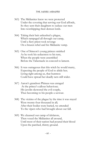- 363) The Midianites knew we were protected Under the covering that serving our God affords, So they sent their daughters to seduce our men Into worshipping their demon lords.
- 364) Taking their bait unleashed a plague, Which rampaged all through our camp, Until a fiery priest took revenge On a brazen rebel and his Midianite vamp.
- 365) One of Simeon's young princes smirked As he took his seductress to his tent, When the people were assembled Before the Tabernacle in concord to lament.
- 366) It was outrageous that this witch he would marry, Expecting the people of God to abide her; Living right among us, that huntress Could have spread her deadly nets still wider.
- 367) Aaron's grandson Phineas was enraged At the prince's callous behaviour; His javelin skewered the evil couple, Thus becoming to his people a saviour.
- 368) The victims of the plague by the time it was stayed Were twenty-four thousand in all; After their bodies were buried, we attended To the vipers who had brought about our fall.
- 369) We cleansed our camp of idolators, Then vexed the Midianites all around, Until most of their nation had poured their blood Upon the parched, thirsty ground.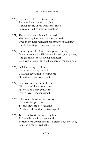- 370) I was sorry I had to lift my hand And wreak such awful slaughter, Against people of my own sons' blood Because of Jethro's willful daughter.
- 371) There were many things I had to do That went against what my flesh desired, Even in my final years, improper ways of thinking Had to be stripped away and rewired.
- 372) It was my awe for God that kept me faithful; Great reverence for His beauty, holiness, and power, And gratitude for His loving kindness; Such awe attracted angels that guarded me each hour.
- 373) Oh! Such glory that I saw Upon the smoking mount! God gave revelation to sustain me More times than I can count.
- 374) God has been my faithful friend With whom I have communed. Face to face, I met with Him; By His love, I am consumed!
- 375) It broke my heart to have to stop Upon Mt. Pisgah's peak; To only view the beloved land Of which I'd heard my parents speak.
- 376) Tears ran like rivers down my face, As I recalled my impatient wrath. Because of that vital time that I didn't obey my God, I cut short my desired path.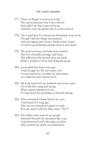- 377) There on Pisgah, I reviewed my life; The rancid pleasures that I have known. How glad I am that I gave them up, And have seen the glories that I've been shown!
- 378) I'm so glad that I've known the friendship of my God, Though I left the things men praised, And was ripped away from a family newly found, As well as good friends among whom I was raised.
- 379) The years of weary servitude were worth it; The loss of wealth, prestige, and hope; The afflictions that burned away my pride While I reached to God with desperate grope.
- 380) I marvelled that forty years ago, I had thought my life was nearly over. I stood amazed as I recalled my adventures As a deliverer and a desert rover.
- 381) My body had lived one hundred and twenty years, Yet it still felt young and strong. What a great temptation it was To leap down the mountain, to lead the throng.
- 382) There stretched Canaan before my eyes; I had heard of it long ago. This was my homeland I pined to tread; Was the answer still that firm, stern, "No!"?
- 383) The stilled, hush mass of my people Stretched beneath the mountain like a sea. I had bestowed God's blessings on them; They awaited my death on bended knee.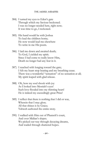- 384) I turned my eyes to Eden's gate Through which my Saviour beckoned. I was no longer needed here, right now; It was time to go, I reckoned.
- 385) His hand would be with Joshua To lead the children home; He now would lead me elsewhere To write in me His poem.
- 386) I laid me down and awaited death; To God, I yielded my spirit. Since I had come to really know Him, Death no longer had any fear in it.
- 387) I reached with longing toward the gate; I felt my heart stop beating and my breathing cease. There was a wonderful "sensation" of no sensation at all; My spirit leaped with glad release.
- 388) Oh, how my soul shook with joy As I looked into Messiah's eyes! Such love flooded into my thirsting heart! He is indeed my exceedingly great Prize!
- 389) I reflect that there is nothing that I did or was, Wherein that I may glory. All that shines is by Grace; Yahweh authored the entire story.
- 390) I walked with Him out of Pharaoh's court, And over Midian's slopes. We picked our way through decaying dreams, And waded through shattered hopes.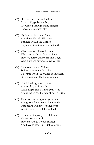- 391) He took my hand and led me Back to Egypt by and by; We walked through many dangers Beneath a fractured sky.
- 392) My Saviour led me to Sinai, And there He held His court. But here within the Garden Began communion of another sort.
- 393) What joys we all have known, Who meet with our Saviour here; How we romp and stomp and laugh, Where we are never assailed by fear.
- 394) It amazes me that Yahweh Still includes me in His plan. One time when He walked in His flesh, On a mountain, He bid me stand.
- 395) Yes, I finally got to Canaan And trod upon its earth, While Elijah and I talked with Jesus About the things He was about to birth.
- 396) There are greater glories yet to see, And great adventures to be unfolded. Pure hearts will have opened eyes; Great characters will be molded.
- 397) I am watching you, dear children, To see how you fit in. How far you go is your choice; You have in Jesus, all it takes to win.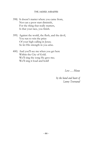- 398) It doesn't matter where you came from, Nor can a poor start diminish, For the thing that really matters, Is that your race, you finish.
- 399) Against the world, the flesh, and the devil, You run to win the prize Of your high calling in Jesus; So let His strength in you arise.
- 400) And you'll see me when you get here Within the City of Gold. We'll sing the song He gave me; We'll sing it loud and bold!

Love … Moses

by the hand and heart of Lanny Townsend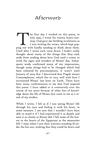# Afterword

The first day I worked on this poem, in July 1999, I wrote for twenty hours non-<br>stop. God gave me thrilling revelations as<br>I was writing the verses, which kept pop-<br>ping out with hardly needing to think about them. he first day I worked on this poem, in July 1999, I wrote for twenty hours nonstop. God gave me thrilling revelations as I was writing the verses, which kept pop-Until after I wrote each verse down, I hadn't really thought about many of the things that they said, aside from reading about how God used a comet to work the signs and wonders of Moses' day. Subsequent study confirmed many of my impressions, though some things had to be changed which had been coloured by preconceptions. It wasn't until January of 2004 that I discovered that Pisgah means Contemplation, which fits in very well with how I envisioned Moses' last hour on Earth. There have been many confirmations to me that God inspired this poem. I have added to it extensively over the course of ten years because of other bits of knowledge about the life of Moses that came to me as a result of my studies.

While I wrote, I felt as if I was seeing Moses' life through his eyes and feeling it with his heart, in some measure. I am sure that I wouldn't have been able to stand it if I had experienced it as deeply and seen it as clearly as Moses did. I felt some of the horror in the hearts of the Egyptians as the meteorites fell. I wept when I saw their warriors standing ill under the hot sun, wishing that they could lie down and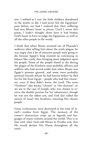rest. I sobbed as I saw the little children abandoned in the streets to die. I had never felt the Egyptians' pain before, nor had I realized that their suffering had torn Moses' heart to pieces. Until I wrote this poem, I hadn't thought about how it had broken God's heart to have to judge the Egyptians, as well as all the other people in the world.

I think that when Moses stormed out of Pharaoh's audience after telling him about the tenth plague, he was angry that a lot of innocent people were going to die because Egypt's king insisted on continuing to behave like a jerk, thus bringing more judgment upon his people. Some of the people slated to die during the plague of the firstborn were probably officers and soldiers who had served under him when Moses was Egypt's premier general, and some were probably personal friends whom he had known before he fled for his life from Egypt – people who had fine character, even if they didn't know the Lord. The term "firstborn" also means "chosen" or "the choicest", as we see in the case of Joseph, who was chosen to receive the double portion for his inheritance, though he was not the eldest son, and God also called the nation of Israel His firstborn, meaning His chosen people.

Great civilizations were destroyed at the time of Israel's exodus from Egypt. The memory of the comet's destruction crops up in legends and languages of many cultures around the world. This is in line with what God told Moses in Exodus 9:16, that He would declare His Name throughout all the earth.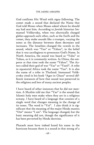God confirms His Word with signs following. The comet made a sound that declared the Name that God told Moses when Moses asked whom he should say had sent him. According to Jewish historian Immanuel Velikovsky, when two electrically charged globes approach each other, such as the Earth and the comet, they make sounds like a trumpet, varying the notes as the distance between them decreases and increases. The Israelites changed the vowels in the sound, which was "Yao" or "Yahou", in the belief that it was sacrilegious to pronounce God's Name. In North America, the sound was heard as "Yahu" or Yahoo, as it is commonly written. In China, the emperor at that time took the name "Yahou". The Aztecs called their god of war "Yao" or "Yaotl". A tribe in equatorial Africa took the name "Yao". It is also the name of a tribe in Thailand. Immanuel Velikovsky cited in his book "Ages in Chaos" several different instances of how that sound was preserved in the religions and lore of many ancient peoples.

I have heard of other instances that he did not mention. A Muslim told me that "Yao" is the sound that Islamic holy men make when they are in a religious ecstasy. I have heard of a language that consists of a single word that changes meaning in the change of its tones. The word is "Yoi". I also think it is significant that the meaning of the major Hindu mantra "Om" means "I am". The language changed, but the basic meaning did not, though the significance of it has been perverted by Hindu doctrine.

Pharaoh must have indeed heard his name in the hurricane because there is a sound in that strong of a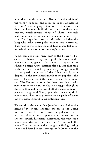wind that sounds very much like it. It is the origin of the word "typhoon" and crops up in the Chinese as well as Arabic language. One of the treasure cities that the Hebrews built during their bondage was Pithom, which means "abode of Thom". Pharaoh had numerous names, as is the custom among royalty. The Egyptian historian Manetho said that the king who ruled during the Exodus was Tutimaos. Tutimaos is the Greek form of Dudimose. Rahab or Ra-uah-ab was another of the king's names.

Rahab came to mean "arrogant" to the Hebrews, because of Pharaoh's psychotic pride. It was also the name that they gave to the comet that appeared in Pharaoh's reign. Other nations also equated that king with the comet, which figures in mythology, as well as the poetic language of the Bible record, as a dragon. To the bewildered minds of the populace, the electrical discharges it threw off looked like a monster. The Greeks and other heathen were able to witness what went on in the sky over Egypt, though at the time they did not know of all of the action taking place on the ground. The pagan priests made up their own stories about it to promote their agenda of keeping the masses bound in superstitious fear.

Thermuthis, the name that Josephus recorded as the name of the Moses' adoptive mother, is the Greek form of Tawaret. Tawaret was the goddess of wetnursing, pictured as a hippopotamus. According to another Jewish historian, Artapanus, the princess's name was Merris. I surmise that Merris took the name Tawaret because she thought it fitting, seeing as she had found Moses among the bulrushes of the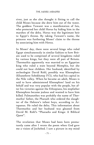river, just as she also thought it fitting to call the child Moses because she drew him out of the water. The goddess Tawaret was a manifestation of Isis, who protected her child Horus by hiding him in the marshes of the delta. Horus was the legitimate heir to Egypt's throne. By taking Tawaret's name, the princess was furthering Moses' claim to the throne by associating him with Horus.

In Moses' day, there were several kings who ruled Egypt simultaneously in similar fashion to how Britain used to be comprised of several kingdoms ruled by various kings, but they were all part of Britain. Thermuthis apparently was married to an Egyptian king who ruled a state beyond Memphis, but she could not bear children. Her husband, identified by archeologist David Rohl, possibly was Khenephres (Khaneferre Sobekhotep IV)), who had his capital in the Nile valley. When he became an adult, Moses is said to have administered Khenephres' land on his behalf and was very popular with the people, but after his victories against the Ethiopians, his stepfather Khenephres became jealous and wanted to have him killed. Palmanothes was probably the name of Thermuthis' father, the Pharaoh who ordered the slaughter of the Hebrew's infant boys, according to Artapanus. He ruled the delta. This information about Thermuthis and her husband was gleaned from David M. Rohl's "Pharaohs and Kings: A Biblical Quest".

The revelation that Moses had been born prematurely came after I wrote the poem when God gave me a vision of Jochebed. I saw a picture in my mind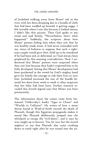of Jochebed walking away from Moses' ark in the river with her dress drooping due to a bundle of cloth that had been wadded up beneath it getting soggy. I felt irritable when I saw this because it looked messy; I didn't like that picture. Then God spoke to my mind and said firmly, "Nevertheless, that's what happened." Suddenly, the scripture about how Moses' parents hiding him when they saw that he was healthy made sense. It had never coincided with my views of holiness to suppose that such a righteous couple would give their child up to be murdered if he had been sick or deformed, so I had always been perplexed by this seeming contradiction. Now I understood that Moses' parents were surprised when they saw him because they hadn't expected him to be fully developed. Seeing that Moses' development had been quickened in the womb by God's mighty hand gave his family the courage to risk their lives to save him. Jochebed increased the size of the bundle beneath her dress from week to week to allay suspicion that her baby had been born. Further research revealed that Jewish legend says that Moses was born prematurely.

The information about the comet came from Immanuel Velikovsky's books "Ages in Chaos" and "Worlds in Collision". He writes of how a stone shrine found at Wadi-el-Arish records the death of Pharaoh, though this Egyptian propaganda makes it sound like Pharaoh deliberately jumped into the whirlpool to escape the "evil-doers", and it says he was caught up to heaven. Yes, he was, but the record neglects to say that Pharaoh also came crashing down to earth right after he was tossed into the air.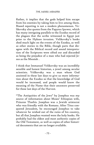Rather, it implies that the gods helped him escape from his enemies by taking him to live among them. Biased reporting is not a modern phenomenon. Velikovsky also quotes from the Papyrus Ipuwer, which has many intriguing parallels to the Exodus record of the plagues that the scribe witnessed in Egypt just prior to the Hyksos invasion. Velikovsky's books shed much light on the events of the Exodus, as well as other stories in the Bible, though parts that disagree with the Biblical record and sound interpretation of the Scriptures were sifted out and discarded as being the prejudice of a man who had rejected Jesus as the Messiah .

I think that Immanuel Velikovsky was an incredibly sensible and honest historian, a jewel among secular scientists. Velikovsky was a man whom God anointed in these last days to give us more information about the Exodus so that the knowledge of God would be increased, and people would know the meaning of the Name that their ancestors preserved for these last days of the Harvest.

"The Antiquities of the Jews" by Josephus was my source of information about Moses' Ethiopian wife, Princess Tharbis. Josephus was a Jewish aristocrat who was friendly with the Romans. After Titus conquered Jerusalem, he encouraged Josephus to take whatever he wished out of the ruins of his country, but all that Josephus wanted were the holy books. He probably had the oldest and most authentic copies of the Old Testament, as well as copies of other historical documents that are no longer available.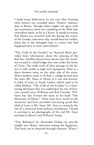I made many deductions on my own after learning what history has recorded about Tharbis' relationship to Moses. Though others might not agree with my conclusions, there isn't anything in the Bible that contradicts them, as far as I know. It stands to reason that Moses was reunited with her during the events of the Exodus, otherwise why would there be conflict about her if she belonged only to events that had happened forty or more years before?

"The Gold of the Exodus" by Howard Blum provided more information about the crossing of the Red Sea. Satellite photos have shown that the Israelites crossed at a land bridge that runs under the Strait of Tiran. The wide track of their passage in the desert is still visible to high tech equipment. Elim is a short distance away on the other side of the strait. Elim's modern name is Al Bad, a village located near the oasis. Mt. Sinai, or Horeb as it was also known, is Jabal al Lawz in Saudi Arabia, which used to be called Midian. "The Gold of the Exodus" is a fascinating adventure that was undertaken by two Americans named Larry Williams and Bob Cornuke. Williams has also written the story in his book "The Mountain of Moses." These men have stood on the mountain and have provided convincing proof that Jabal al Lawz is Mt. Sinai. Mt. Sinai is currently the site of a restricted Arab military installation. I found it exciting to see photographs of the real Mt. Sinai included in Blum's and Williams' books.

"Two Babylons" by Alexander Hislop can provide insight into Moses' education among the Egyptians. The book can be obtained through Amazon. When I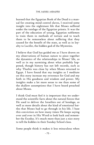learned that the Egyptian Book of the Dead is a manual for creating mind control slaves, I received some insight into the nightmare life that Moses suffered under the tutelage of the Egyptian priests. It was the part of the education of young, Egyptian noblemen to train them in methods of torture and to teach them to be remorseless about suffering that they caused for the benefit of the state, as well as in loyalty to Lucifer, the hidden god of the Mysteries.

I believe that God has guided me as I have drawn on my observations of human nature to piece together the dynamics of the relationships in Moses' life, as well as in my surmising about what probably happened, though history has not left records, such as why Tharbis was close by when Moses returned to Egypt. I have found that my insights as I meditate on this story increase my reverence for God and my faith in His goodness and wisdom and power. My insights make a lot more sense to me than some of the shallow assumptions that I have heard preached about Moses.

I think God must feel it is important that we understand the scientific facts about the natural forces that He used to deliver the Israelites out of bondage, as well as more details about the kind of emotional battles that Moses had to go through in his life. I base this conviction on how many times He keeps saying over and over in His Word to look back and remember the Exodus. It's much more than just a nice story to tell the kiddies in their Sunday School class.

Some people think it makes it less miraculous when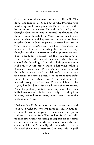God uses natural elements to work His will. The Egyptians thought so, too. That is why Pharaoh kept hardening his heart against God's conviction in the beginning of the plagues. He and his learned priests thought that there was a natural explanation for these things, though how Moses knew in advance exactly what would happen, and when, must have puzzled them. When the priests described the lice as "the finger of God", they were being sarcastic, not reverent. They were making fun of what they thought was the superstition of the ignorant masses. They were telling Pharaoh that the lice were a natural effect due to the heat of the comet, which had increased the breeding of vermin. This phenomenon still occurs in the desert when a hot wind called a Khamsin blows. Later, Pharaoh's heart was hardened through his jealousy of the Hebrew's divine protection from the comet's destruction. It must have infuriated him that Moses wasn't harmed when he walked through the firestorm. Pharaoh claimed to be a god, but he didn't dare walk into that firestorm. Also, he probably didn't look very god-like when boils burst out on his face and body, affecting him like any other human being who wasn't under the protection of God.

I believe that Psalm 91 is scripture that we can stand on if God wills that we live through similar circumstances. It would be good to memorize that psalm and meditate on it often. The book of Revelation tells us that cataclysms are going to happen on the earth again, only worse. In Moses' day, it was only one comet and it didn't actually hit the earth. It simply followed the earth's orbit until it was able to pull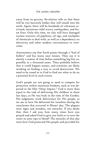away from its gravity. Revelation tells us that there will be two heavenly bodies that will smash into the earth. Again, there will be hundreds of volcanoes activated, monstrous tidal waves, earthquakes, and forest fires. Only this time, we also will have damaged nuclear reactors, oil pipelines, oil rigs, and stockpiles of chemicals to deal with, as well as a dependency on electricity and other modern conveniences to overcome.

Astronomers say that Earth passes through a "hail of bullets" and has many near misses. They say it is merely a matter of time before something big hits us, possibly in a thousand years. They probably believe that it could happen sooner, and scientists are likely working on finding a way to avoid destruction. We need to be tuned in to God to find out what to do on a personal level in such events.

God's people are not going to need to compete for protection within mountain bunkers, such as was depicted in the film "Deep Impact." God is more than equal to the task of delivering His children in these last days, as He was back in the time of the Exodus. His judgments work deliverance for His people, as we see in how He delivered the Israelites during the cataclysms that occurred in Moses' day. The plagues were signs and wonders, not miracles. If you doubt that, then I ask you, how many times have you prayed and asked God to give you boils or to turn the water in your taps to blood? The miracles of that day were how God protected His people and provided for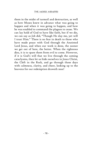them in the midst of turmoil and destruction, as well as how Moses knew in advance what was going to happen and when it was going to happen, and how he was enabled to command the plagues to cease. We can lay hold of God to have like faith, but if we die, we can say as Job did, "Though He slay me, yet will I trust Him." There is no fear in death to those who have made peace with God through the Anointed Lord Jesus, and when our work is done, the sooner we get out of here, the better. When the righteous dies, it is to spare them from evil to come. However, if it is God's will that we live through the coming cataclysms, then let us hide ourselves in Jesus Christ, the Cleft in the Rock, and go through those days with calmness, clarity, and cheer, looking up to the heavens for our redemption draweth near!